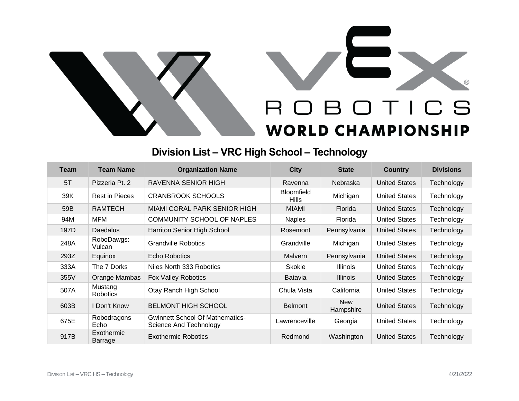



## **Division List – VRC High School – Technology**

| <b>Team</b> | <b>Team Name</b>             | <b>Organization Name</b>                                         | <b>City</b>                       | <b>State</b>            | Country              | <b>Divisions</b> |
|-------------|------------------------------|------------------------------------------------------------------|-----------------------------------|-------------------------|----------------------|------------------|
| 5T          | Pizzeria Pt. 2               | RAVENNA SENIOR HIGH                                              | Ravenna                           | Nebraska                | <b>United States</b> | Technology       |
| 39K         | <b>Rest in Pieces</b>        | <b>CRANBROOK SCHOOLS</b>                                         | <b>Bloomfield</b><br><b>Hills</b> | Michigan                | <b>United States</b> | Technology       |
| 59B         | <b>RAMTECH</b>               | <b>MIAMI CORAL PARK SENIOR HIGH</b>                              | <b>MIAMI</b>                      | Florida                 | <b>United States</b> | Technology       |
| 94M         | <b>MFM</b>                   | COMMUNITY SCHOOL OF NAPLES                                       | <b>Naples</b>                     | Florida                 | <b>United States</b> | Technology       |
| 197D        | <b>Daedalus</b>              | Harriton Senior High School                                      | Rosemont                          | Pennsylvania            | <b>United States</b> | Technology       |
| 248A        | RoboDawgs:<br>Vulcan         | <b>Grandville Robotics</b>                                       | Grandville                        | Michigan                | <b>United States</b> | Technology       |
| 293Z        | Equinox                      | Echo Robotics                                                    | <b>Malvern</b>                    | Pennsylvania            | <b>United States</b> | Technology       |
| 333A        | The 7 Dorks                  | Niles North 333 Robotics                                         | <b>Skokie</b>                     | <b>Illinois</b>         | <b>United States</b> | Technology       |
| 355V        | Orange Mambas                | <b>Fox Valley Robotics</b>                                       | Batavia                           | <b>Illinois</b>         | <b>United States</b> | Technology       |
| 507A        | Mustang<br><b>Robotics</b>   | Otay Ranch High School                                           | Chula Vista                       | California              | <b>United States</b> | Technology       |
| 603B        | I Don't Know                 | <b>BELMONT HIGH SCHOOL</b>                                       | <b>Belmont</b>                    | <b>New</b><br>Hampshire | <b>United States</b> | Technology       |
| 675E        | Robodragons<br>Echo          | <b>Gwinnett School Of Mathematics-</b><br>Science And Technology | Lawrenceville                     | Georgia                 | <b>United States</b> | Technology       |
| 917B        | <b>Exothermic</b><br>Barrage | <b>Exothermic Robotics</b>                                       | Redmond                           | Washington              | <b>United States</b> | Technology       |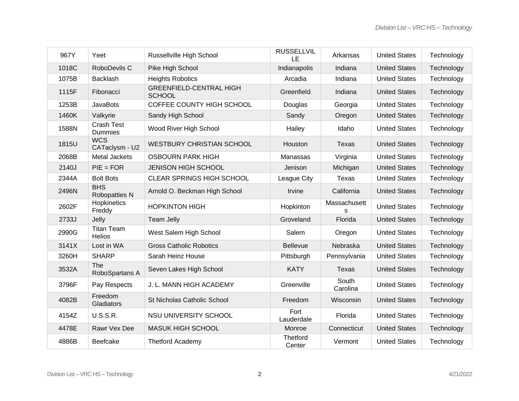| 967Y  | Yeet                               | Russellville High School                        | <b>RUSSELLVIL</b><br>LE | Arkansas          | <b>United States</b> | Technology |
|-------|------------------------------------|-------------------------------------------------|-------------------------|-------------------|----------------------|------------|
| 1018C | RoboDevils C                       | Pike High School                                | Indianapolis            | Indiana           | <b>United States</b> | Technology |
| 1075B | <b>Backlash</b>                    | <b>Heights Robotics</b>                         | Arcadia                 | Indiana           | <b>United States</b> | Technology |
| 1115F | Fibonacci                          | <b>GREENFIELD-CENTRAL HIGH</b><br><b>SCHOOL</b> | Greenfield              | Indiana           | <b>United States</b> | Technology |
| 1253B | <b>JavaBots</b>                    | COFFEE COUNTY HIGH SCHOOL                       | Douglas                 | Georgia           | <b>United States</b> | Technology |
| 1460K | Valkyrie                           | Sandy High School                               | Sandy                   | Oregon            | <b>United States</b> | Technology |
| 1588N | <b>Crash Test</b><br>Dummies       | Wood River High School                          | Hailey                  | Idaho             | <b>United States</b> | Technology |
| 1815U | <b>WCS</b><br>CATaclysm - U2       | <b>WESTBURY CHRISTIAN SCHOOL</b>                | Houston                 | <b>Texas</b>      | <b>United States</b> | Technology |
| 2068B | Metal Jackets                      | <b>OSBOURN PARK HIGH</b>                        | Manassas                | Virginia          | <b>United States</b> | Technology |
| 2140J | $PIE = FOR$                        | <b>JENISON HIGH SCHOOL</b>                      | Jenison                 | Michigan          | <b>United States</b> | Technology |
| 2344A | <b>Bolt Bots</b>                   | <b>CLEAR SPRINGS HIGH SCHOOL</b>                | League City             | Texas             | <b>United States</b> | Technology |
| 2496N | <b>BHS</b><br>Robopatties N        | Arnold O. Beckman High School                   | Irvine                  | California        | <b>United States</b> | Technology |
| 2602F | Hopkinetics<br>Freddy              | <b>HOPKINTON HIGH</b>                           | Hopkinton               | Massachusett<br>S | <b>United States</b> | Technology |
| 2733J | Jelly                              | <b>Team Jelly</b>                               | Groveland               | Florida           | <b>United States</b> | Technology |
| 2990G | <b>Titan Team</b><br><b>Helios</b> | West Salem High School                          | Salem                   | Oregon            | <b>United States</b> | Technology |
| 3141X | Lost in WA                         | <b>Gross Catholic Robotics</b>                  | <b>Bellevue</b>         | Nebraska          | <b>United States</b> | Technology |
| 3260H | <b>SHARP</b>                       | Sarah Heinz House                               | Pittsburgh              | Pennsylvania      | <b>United States</b> | Technology |
| 3532A | The<br>RoboSpartans A              | Seven Lakes High School                         | <b>KATY</b>             | <b>Texas</b>      | <b>United States</b> | Technology |
| 3796F | Pay Respects                       | J. L. MANN HIGH ACADEMY                         | Greenville              | South<br>Carolina | <b>United States</b> | Technology |
| 4082B | Freedom<br>Gladiators              | St Nicholas Catholic School                     | Freedom                 | Wisconsin         | <b>United States</b> | Technology |
| 4154Z | <b>U.S.S.R.</b>                    | NSU UNIVERSITY SCHOOL                           | Fort<br>Lauderdale      | Florida           | <b>United States</b> | Technology |
| 4478E | Rawr Vex Dee                       | MASUK HIGH SCHOOL                               | Monroe                  | Connecticut       | <b>United States</b> | Technology |
| 4886B | Beefcake                           | <b>Thetford Academy</b>                         | Thetford<br>Center      | Vermont           | <b>United States</b> | Technology |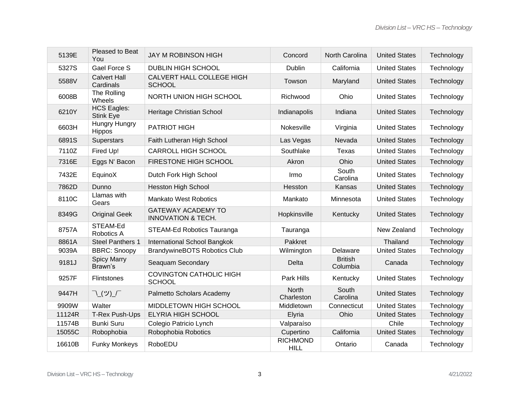| 5139E  | Pleased to Beat<br>You                 | <b>JAY M ROBINSON HIGH</b>                                 | Concord                        | North Carolina             | <b>United States</b> | Technology |
|--------|----------------------------------------|------------------------------------------------------------|--------------------------------|----------------------------|----------------------|------------|
| 5327S  | <b>Gael Force S</b>                    | <b>DUBLIN HIGH SCHOOL</b>                                  | Dublin                         | California                 | <b>United States</b> | Technology |
| 5588V  | <b>Calvert Hall</b><br>Cardinals       | CALVERT HALL COLLEGE HIGH<br><b>SCHOOL</b>                 | Towson                         | Maryland                   | <b>United States</b> | Technology |
| 6008B  | The Rolling<br>Wheels                  | NORTH UNION HIGH SCHOOL                                    | Richwood                       | Ohio                       | <b>United States</b> | Technology |
| 6210Y  | <b>HCS Eagles:</b><br><b>Stink Eye</b> | Heritage Christian School                                  | Indianapolis                   | Indiana                    | <b>United States</b> | Technology |
| 6603H  | Hungry Hungry<br>Hippos                | <b>PATRIOT HIGH</b>                                        | Nokesville                     | Virginia                   | <b>United States</b> | Technology |
| 6891S  | Superstars                             | Faith Lutheran High School                                 | Las Vegas                      | Nevada                     | <b>United States</b> | Technology |
| 7110Z  | Fired Up!                              | <b>CARROLL HIGH SCHOOL</b>                                 | Southlake                      | Texas                      | <b>United States</b> | Technology |
| 7316E  | Eggs N' Bacon                          | FIRESTONE HIGH SCHOOL                                      | Akron                          | Ohio                       | <b>United States</b> | Technology |
| 7432E  | EquinoX                                | Dutch Fork High School                                     | Irmo                           | South<br>Carolina          | <b>United States</b> | Technology |
| 7862D  | Dunno                                  | <b>Hesston High School</b>                                 | Hesston                        | Kansas                     | <b>United States</b> | Technology |
| 8110C  | Llamas with<br>Gears                   | <b>Mankato West Robotics</b>                               | Mankato                        | Minnesota                  | <b>United States</b> | Technology |
| 8349G  | <b>Original Geek</b>                   | <b>GATEWAY ACADEMY TO</b><br><b>INNOVATION &amp; TECH.</b> | Hopkinsville                   | Kentucky                   | <b>United States</b> | Technology |
| 8757A  | STEAM-Ed<br>Robotics A                 | STEAM-Ed Robotics Tauranga                                 | Tauranga                       |                            | New Zealand          | Technology |
| 8861A  | <b>Steel Panthers 1</b>                | International School Bangkok                               | Pakkret                        |                            | Thailand             | Technology |
| 9039A  | <b>BBRC: Snoopy</b>                    | <b>BrandywineBOTS Robotics Club</b>                        | Wilmington                     | Delaware                   | <b>United States</b> | Technology |
| 9181J  | <b>Spicy Marry</b><br>Brawn's          | Seaquam Secondary                                          | Delta                          | <b>British</b><br>Columbia | Canada               | Technology |
| 9257F  | <b>Flintstones</b>                     | <b>COVINGTON CATHOLIC HIGH</b><br><b>SCHOOL</b>            | Park Hills                     | Kentucky                   | <b>United States</b> | Technology |
| 9447H  | <b>「\(ツ)_/</b>                         | Palmetto Scholars Academy                                  | <b>North</b><br>Charleston     | South<br>Carolina          | <b>United States</b> | Technology |
| 9909W  | Walter                                 | MIDDLETOWN HIGH SCHOOL                                     | Middletown                     | Connecticut                | <b>United States</b> | Technology |
| 11124R | T-Rex Push-Ups                         | ELYRIA HIGH SCHOOL                                         | Elyria                         | Ohio                       | <b>United States</b> | Technology |
| 11574B | <b>Bunki Suru</b>                      | Colegio Patricio Lynch                                     | Valparaíso                     |                            | Chile                | Technology |
| 15055C | Robophobia                             | Robophobia Robotics                                        | Cupertino                      | California                 | <b>United States</b> | Technology |
| 16610B | <b>Funky Monkeys</b>                   | RoboEDU                                                    | <b>RICHMOND</b><br><b>HILL</b> | Ontario                    | Canada               | Technology |